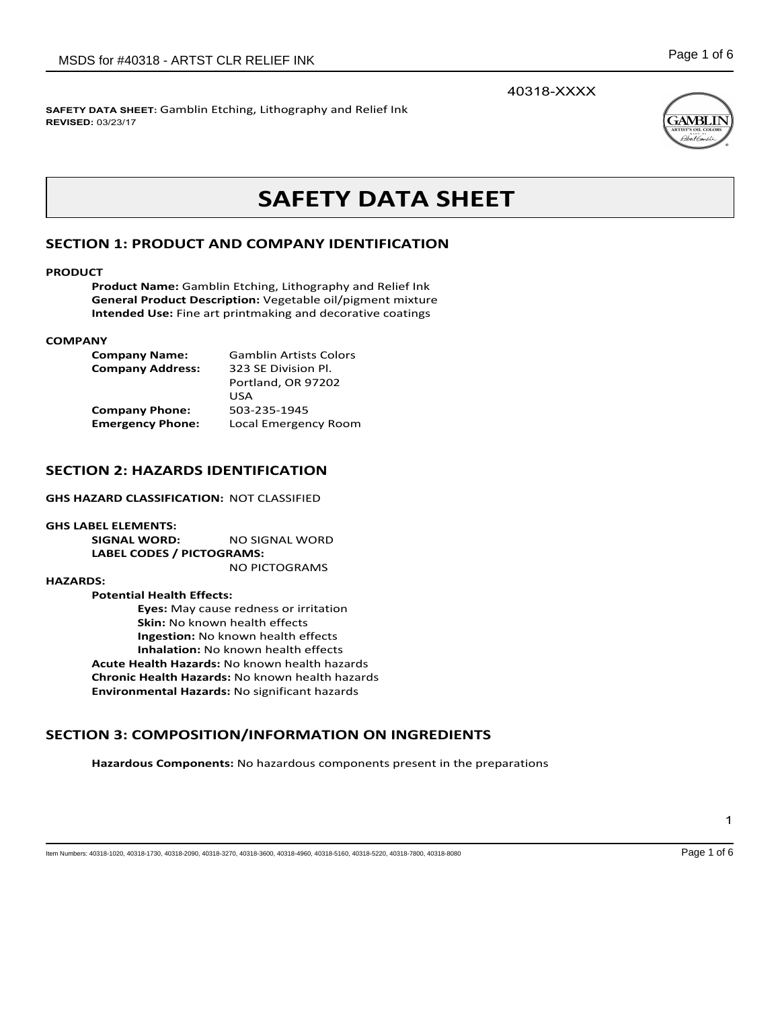40318-XXXX



## **SAFETY DATA SHEET:** Gamblin Etching, Lithography and Relief Ink **REVISED:** 03/23/17

# **SAFETY DATA SHEET**

# **SECTION 1: PRODUCT AND COMPANY IDENTIFICATION**

### **PRODUCT**

**Product Name:** Gamblin Etching, Lithography and Relief Ink **General Product Description:** Vegetable oil/pigment mixture **Intended Use:** Fine art printmaking and decorative coatings

### **COMPANY**

| <b>Company Name:</b>    | <b>Gamblin Artists Colors</b> |
|-------------------------|-------------------------------|
| <b>Company Address:</b> | 323 SE Division Pl.           |
|                         | Portland, OR 97202            |
|                         | USA                           |
| <b>Company Phone:</b>   | 503-235-1945                  |
| <b>Emergency Phone:</b> | Local Emergency Room          |

## **SECTION 2: HAZARDS IDENTIFICATION**

**GHS HAZARD CLASSIFICATION:** NOT CLASSIFIED

**GHS LABEL ELEMENTS: SIGNAL WORD:** NO SIGNAL WORD **LABEL CODES / PICTOGRAMS:**  NO PICTOGRAMS

### **HAZARDS:**

**Potential Health Effects: Eyes:** May cause redness or irritation **Skin:** No known health effects **Ingestion:** No known health effects **Inhalation:** No known health effects **Acute Health Hazards:** No known health hazards **Chronic Health Hazards:** No known health hazards **Environmental Hazards:** No significant hazards

# **SECTION 3: COMPOSITION/INFORMATION ON INGREDIENTS**

**Hazardous Components:** No hazardous components present in the preparations

1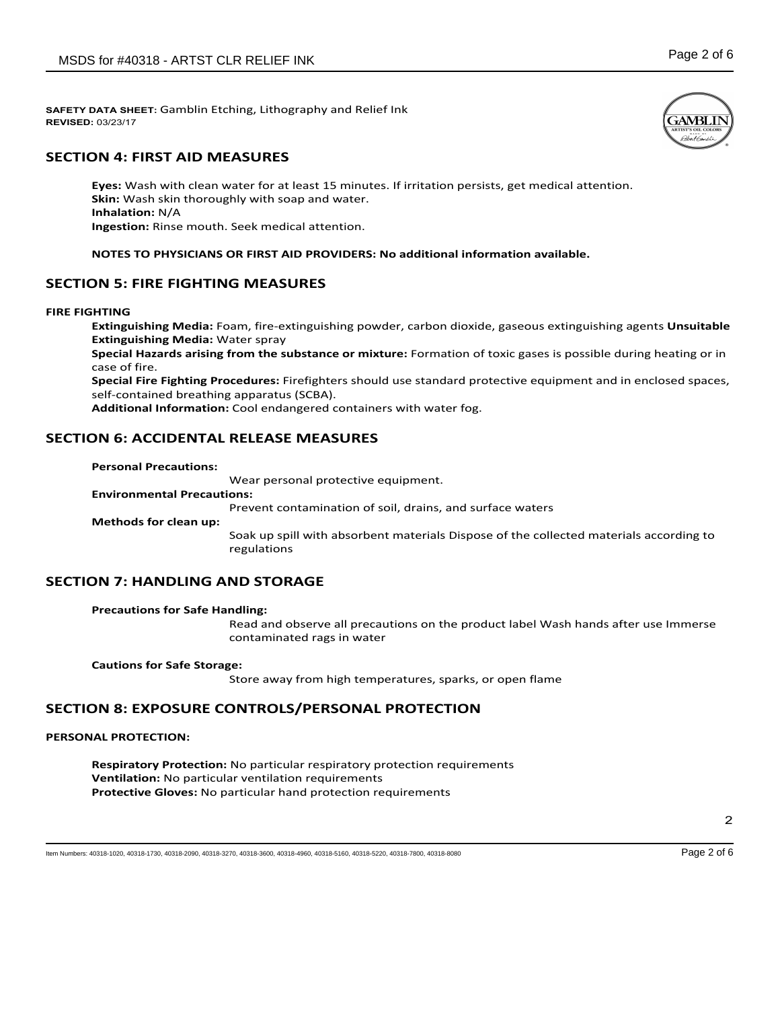# **SECTION 4: FIRST AID MEASURES**

**Eyes:** Wash with clean water for at least 15 minutes. If irritation persists, get medical attention. **Skin:** Wash skin thoroughly with soap and water. **Inhalation:** N/A **Ingestion:** Rinse mouth. Seek medical attention.

## **NOTES TO PHYSICIANS OR FIRST AID PROVIDERS: No additional information available.**

## **SECTION 5: FIRE FIGHTING MEASURES**

**FIRE FIGHTING**

**Extinguishing Media:** Foam, fire-extinguishing powder, carbon dioxide, gaseous extinguishing agents **Unsuitable Extinguishing Media:** Water spray

**Special Hazards arising from the substance or mixture:** Formation of toxic gases is possible during heating or in case of fire.

**Special Fire Fighting Procedures:** Firefighters should use standard protective equipment and in enclosed spaces, self-contained breathing apparatus (SCBA).

**Additional Information:** Cool endangered containers with water fog.

## **SECTION 6: ACCIDENTAL RELEASE MEASURES**

### **Personal Precautions:**

Wear personal protective equipment.

**Environmental Precautions:**

Prevent contamination of soil, drains, and surface waters

**Methods for clean up:**

Soak up spill with absorbent materials Dispose of the collected materials according to regulations

## **SECTION 7: HANDLING AND STORAGE**

## **Precautions for Safe Handling:**

Read and observe all precautions on the product label Wash hands after use Immerse contaminated rags in water

**Cautions for Safe Storage:**

Store away from high temperatures, sparks, or open flame

## **SECTION 8: EXPOSURE CONTROLS/PERSONAL PROTECTION**

## **PERSONAL PROTECTION:**

**Respiratory Protection:** No particular respiratory protection requirements **Ventilation:** No particular ventilation requirements **Protective Gloves:** No particular hand protection requirements

Item Numbers: 40318-1020, 40318-1730, 40318-2090, 40318-3270, 40318-3600, 40318-4960, 40318-5160, 40318-5220, 40318-7800, 40318-8080 Page 2 of 6

2

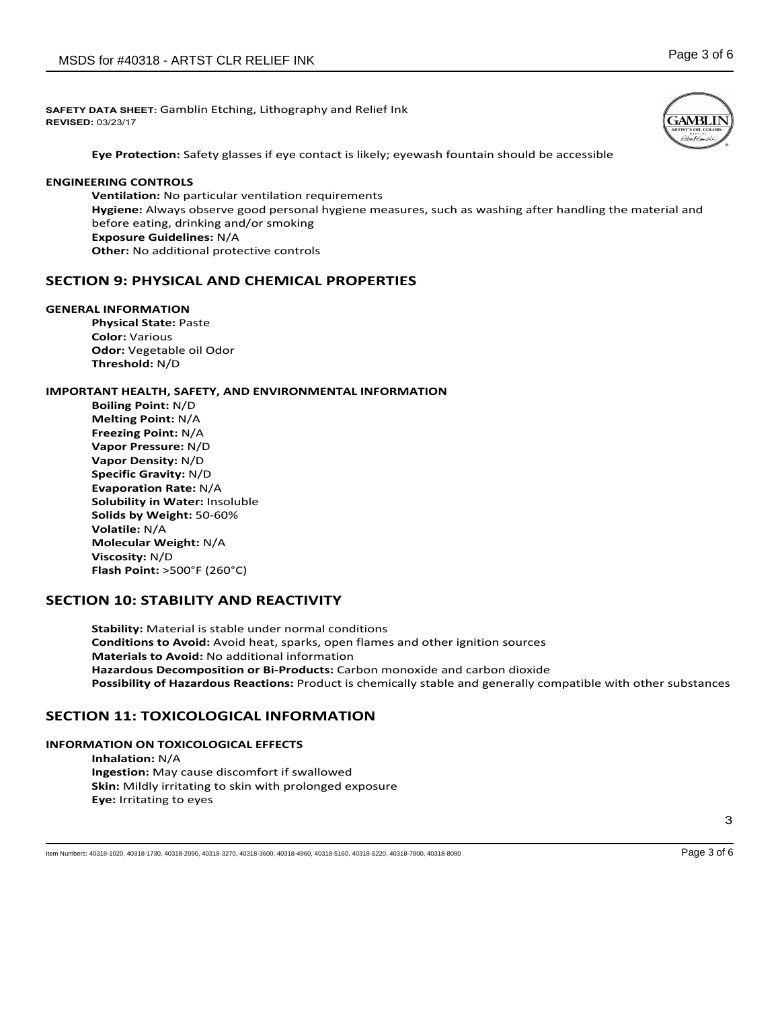

**Eye Protection:** Safety glasses if eye contact is likely; eyewash fountain should be accessible

## **ENGINEERING CONTROLS**

**Ventilation:** No particular ventilation requirements **Hygiene:** Always observe good personal hygiene measures, such as washing after handling the material and before eating, drinking and/or smoking **Exposure Guidelines:** N/A **Other:** No additional protective controls

# **SECTION 9: PHYSICAL AND CHEMICAL PROPERTIES**

### **GENERAL INFORMATION**

**Physical State:** Paste **Color:** Various **Odor:** Vegetable oil Odor **Threshold:** N/D

## **IMPORTANT HEALTH, SAFETY, AND ENVIRONMENTAL INFORMATION**

**Boiling Point:** N/D **Melting Point:** N/A **Freezing Point:** N/A **Vapor Pressure:** N/D **Vapor Density:** N/D **Specific Gravity:** N/D **Evaporation Rate:** N/A **Solubility in Water:** Insoluble **Solids by Weight:** 50-60% **Volatile:** N/A **Molecular Weight:** N/A **Viscosity:** N/D **Flash Point:** >500°F (260°C)

## **SECTION 10: STABILITY AND REACTIVITY**

**Stability:** Material is stable under normal conditions **Conditions to Avoid:** Avoid heat, sparks, open flames and other ignition sources **Materials to Avoid:** No additional information **Hazardous Decomposition or Bi-Products:** Carbon monoxide and carbon dioxide **Possibility of Hazardous Reactions:** Product is chemically stable and generally compatible with other substances

## **SECTION 11: TOXICOLOGICAL INFORMATION**

## **INFORMATION ON TOXICOLOGICAL EFFECTS**

**Inhalation:** N/A **Ingestion:** May cause discomfort if swallowed **Skin:** Mildly irritating to skin with prolonged exposure **Eye:** Irritating to eyes

Item Numbers: 40318-1020, 40318-1730, 40318-2090, 40318-3270, 40318-3600, 40318-4960, 40318-5160, 40318-5220, 40318-7800, 40318-8080 Page 3 of 6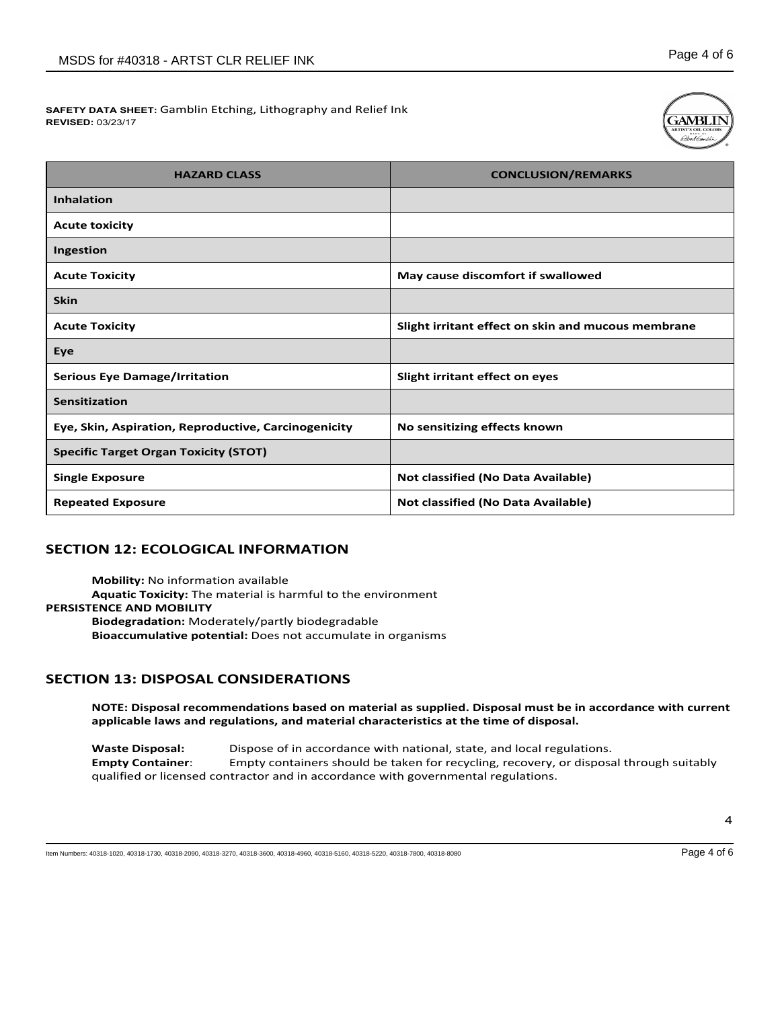

| <b>HAZARD CLASS</b>                                  | <b>CONCLUSION/REMARKS</b>                          |
|------------------------------------------------------|----------------------------------------------------|
| <b>Inhalation</b>                                    |                                                    |
| <b>Acute toxicity</b>                                |                                                    |
| Ingestion                                            |                                                    |
| <b>Acute Toxicity</b>                                | May cause discomfort if swallowed                  |
| <b>Skin</b>                                          |                                                    |
| <b>Acute Toxicity</b>                                | Slight irritant effect on skin and mucous membrane |
| Eye                                                  |                                                    |
| <b>Serious Eye Damage/Irritation</b>                 | Slight irritant effect on eyes                     |
| Sensitization                                        |                                                    |
| Eye, Skin, Aspiration, Reproductive, Carcinogenicity | No sensitizing effects known                       |
| <b>Specific Target Organ Toxicity (STOT)</b>         |                                                    |
| <b>Single Exposure</b>                               | Not classified (No Data Available)                 |
| <b>Repeated Exposure</b>                             | Not classified (No Data Available)                 |

# **SECTION 12: ECOLOGICAL INFORMATION**

**Mobility:** No information available **Aquatic Toxicity:** The material is harmful to the environment

**PERSISTENCE AND MOBILITY**

**Biodegradation:** Moderately/partly biodegradable **Bioaccumulative potential:** Does not accumulate in organisms

# **SECTION 13: DISPOSAL CONSIDERATIONS**

**NOTE: Disposal recommendations based on material as supplied. Disposal must be in accordance with current applicable laws and regulations, and material characteristics at the time of disposal.**

**Waste Disposal:** Dispose of in accordance with national, state, and local regulations. **Empty Container**: Empty containers should be taken for recycling, recovery, or disposal through suitably qualified or licensed contractor and in accordance with governmental regulations.

Item Numbers: 40318-1020, 40318-1730, 40318-2090, 40318-3270, 40318-3600, 40318-4960, 40318-5160, 40318-5220, 40318-7800, 40318-8080 Page 4 of 6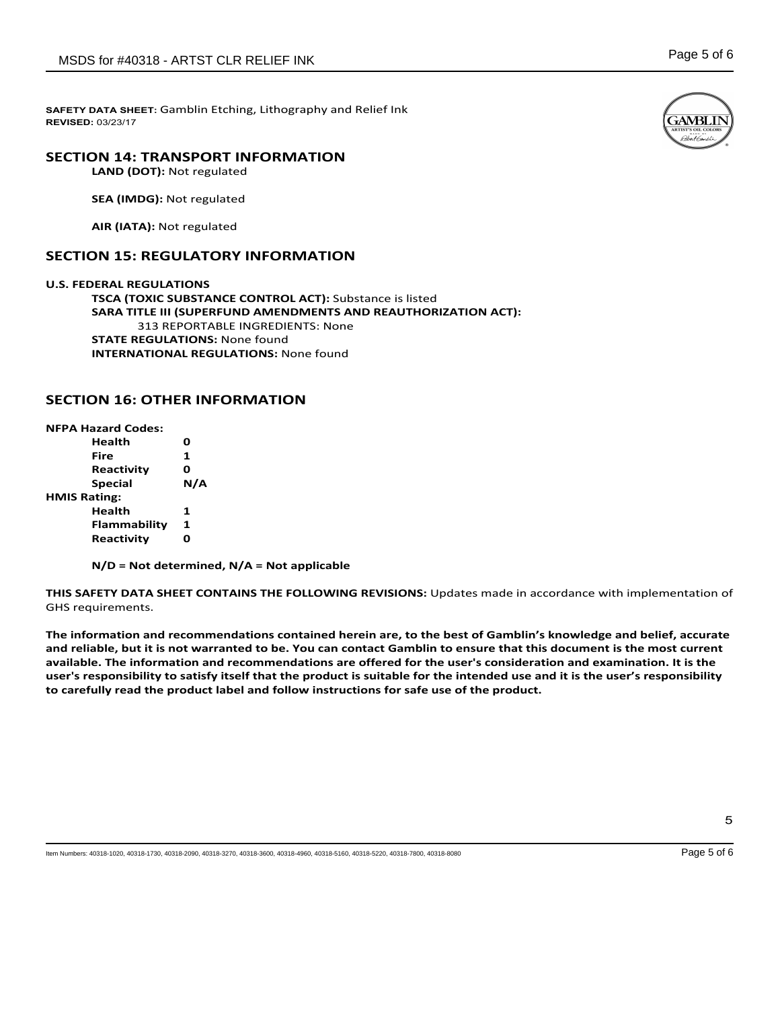# **SECTION 14: TRANSPORT INFORMATION**

**LAND (DOT):** Not regulated

**SEA (IMDG):** Not regulated

**AIR (IATA):** Not regulated

# **SECTION 15: REGULATORY INFORMATION**

**U.S. FEDERAL REGULATIONS TSCA (TOXIC SUBSTANCE CONTROL ACT):** Substance is listed **SARA TITLE III (SUPERFUND AMENDMENTS AND REAUTHORIZATION ACT):** 313 REPORTABLE INGREDIENTS: None **STATE REGULATIONS:** None found **INTERNATIONAL REGULATIONS:** None found

# **SECTION 16: OTHER INFORMATION**

**NFPA Hazard Codes:**

**Health 0 Fire 1 Reactivity 0 Special N/A HMIS Rating: Health 1 Flammability 1 Reactivity 0**

**N/D = Not determined, N/A = Not applicable**

**THIS SAFETY DATA SHEET CONTAINS THE FOLLOWING REVISIONS:** Updates made in accordance with implementation of GHS requirements.

The information and recommendations contained herein are, to the best of Gamblin's knowledge and belief, accurate and reliable, but it is not warranted to be. You can contact Gamblin to ensure that this document is the most current available. The information and recommendations are offered for the user's consideration and examination. It is the user's responsibility to satisfy itself that the product is suitable for the intended use and it is the user's responsibility **to carefully read the product label and follow instructions for safe use of the product.**